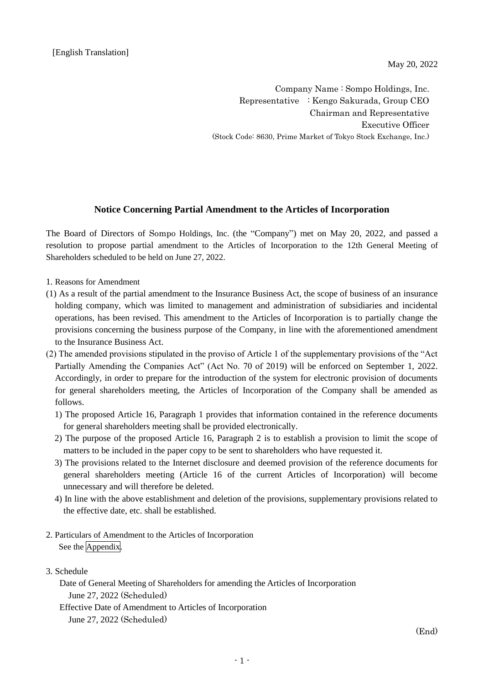May 20, 2022

Company Name : Sompo Holdings, Inc. Representative : Kengo Sakurada, Group CEO Chairman and Representative Executive Officer (Stock Code: 8630, Prime Market of Tokyo Stock Exchange, Inc.)

## **Notice Concerning Partial Amendment to the Articles of Incorporation**

The Board of Directors of Sompo Holdings, Inc. (the "Company") met on May 20, 2022, and passed a resolution to propose partial amendment to the Articles of Incorporation to the 12th General Meeting of Shareholders scheduled to be held on June 27, 2022.

- 1. Reasons for Amendment
- (1) As a result of the partial amendment to the Insurance Business Act, the scope of business of an insurance holding company, which was limited to management and administration of subsidiaries and incidental operations, has been revised. This amendment to the Articles of Incorporation is to partially change the provisions concerning the business purpose of the Company, in line with the aforementioned amendment to the Insurance Business Act.
- (2) The amended provisions stipulated in the proviso of Article 1 of the supplementary provisions of the "Act Partially Amending the Companies Act" (Act No. 70 of 2019) will be enforced on September 1, 2022. Accordingly, in order to prepare for the introduction of the system for electronic provision of documents for general shareholders meeting, the Articles of Incorporation of the Company shall be amended as follows.
	- 1) The proposed Article 16, Paragraph 1 provides that information contained in the reference documents for general shareholders meeting shall be provided electronically.
	- 2) The purpose of the proposed Article 16, Paragraph 2 is to establish a provision to limit the scope of matters to be included in the paper copy to be sent to shareholders who have requested it.
	- 3) The provisions related to the Internet disclosure and deemed provision of the reference documents for general shareholders meeting (Article 16 of the current Articles of Incorporation) will become unnecessary and will therefore be deleted.
	- 4) In line with the above establishment and deletion of the provisions, supplementary provisions related to the effective date, etc. shall be established.
- 2. Particulars of Amendment to the Articles of Incorporation See the Appendix.
- 3. Schedule
	- Date of General Meeting of Shareholders for amending the Articles of Incorporation June 27, 2022 (Scheduled)
	- Effective Date of Amendment to Articles of Incorporation
		- June 27, 2022 (Scheduled)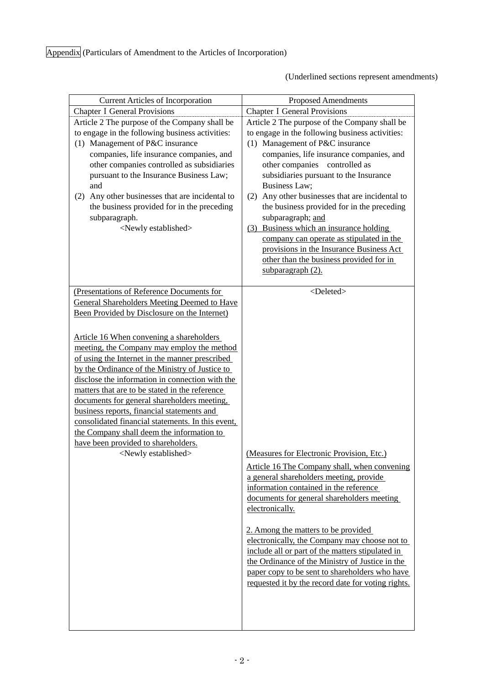(Underlined sections represent amendments)

| <b>Current Articles of Incorporation</b>                                                                                                                                                                                                                                                                                                                                                                                                                                                                                                                                | <b>Proposed Amendments</b>                                                                                                                                                                                                                                                                                                                                                                                                                                                                                                                                                                                        |
|-------------------------------------------------------------------------------------------------------------------------------------------------------------------------------------------------------------------------------------------------------------------------------------------------------------------------------------------------------------------------------------------------------------------------------------------------------------------------------------------------------------------------------------------------------------------------|-------------------------------------------------------------------------------------------------------------------------------------------------------------------------------------------------------------------------------------------------------------------------------------------------------------------------------------------------------------------------------------------------------------------------------------------------------------------------------------------------------------------------------------------------------------------------------------------------------------------|
| <b>Chapter I General Provisions</b>                                                                                                                                                                                                                                                                                                                                                                                                                                                                                                                                     | <b>Chapter I General Provisions</b>                                                                                                                                                                                                                                                                                                                                                                                                                                                                                                                                                                               |
| Article 2 The purpose of the Company shall be<br>to engage in the following business activities:<br>(1) Management of P&C insurance<br>companies, life insurance companies, and<br>other companies controlled as subsidiaries<br>pursuant to the Insurance Business Law;<br>and<br>Any other businesses that are incidental to<br>(2)<br>the business provided for in the preceding<br>subparagraph.<br><newly established=""></newly>                                                                                                                                  | Article 2 The purpose of the Company shall be<br>to engage in the following business activities:<br>(1) Management of P&C insurance<br>companies, life insurance companies, and<br>other companies controlled as<br>subsidiaries pursuant to the Insurance<br><b>Business Law;</b><br>Any other businesses that are incidental to<br>(2)<br>the business provided for in the preceding<br>subparagraph; and<br>Business which an insurance holding<br>(3)<br>company can operate as stipulated in the<br>provisions in the Insurance Business Act<br>other than the business provided for in<br>subparagraph (2). |
| (Presentations of Reference Documents for                                                                                                                                                                                                                                                                                                                                                                                                                                                                                                                               | <deleted></deleted>                                                                                                                                                                                                                                                                                                                                                                                                                                                                                                                                                                                               |
| <b>General Shareholders Meeting Deemed to Have</b><br>Been Provided by Disclosure on the Internet)                                                                                                                                                                                                                                                                                                                                                                                                                                                                      |                                                                                                                                                                                                                                                                                                                                                                                                                                                                                                                                                                                                                   |
| Article 16 When convening a shareholders<br>meeting, the Company may employ the method<br>of using the Internet in the manner prescribed<br>by the Ordinance of the Ministry of Justice to<br>disclose the information in connection with the<br>matters that are to be stated in the reference<br>documents for general shareholders meeting,<br>business reports, financial statements and<br>consolidated financial statements. In this event,<br>the Company shall deem the information to<br>have been provided to shareholders.<br><newly established=""></newly> | (Measures for Electronic Provision, Etc.)<br>Article 16 The Company shall, when convening<br>a general shareholders meeting, provide<br>information contained in the reference<br>documents for general shareholders meeting<br>electronically.<br>2. Among the matters to be provided<br>electronically, the Company may choose not to<br>include all or part of the matters stipulated in<br>the Ordinance of the Ministry of Justice in the<br>paper copy to be sent to shareholders who have<br>requested it by the record date for voting rights.                                                            |